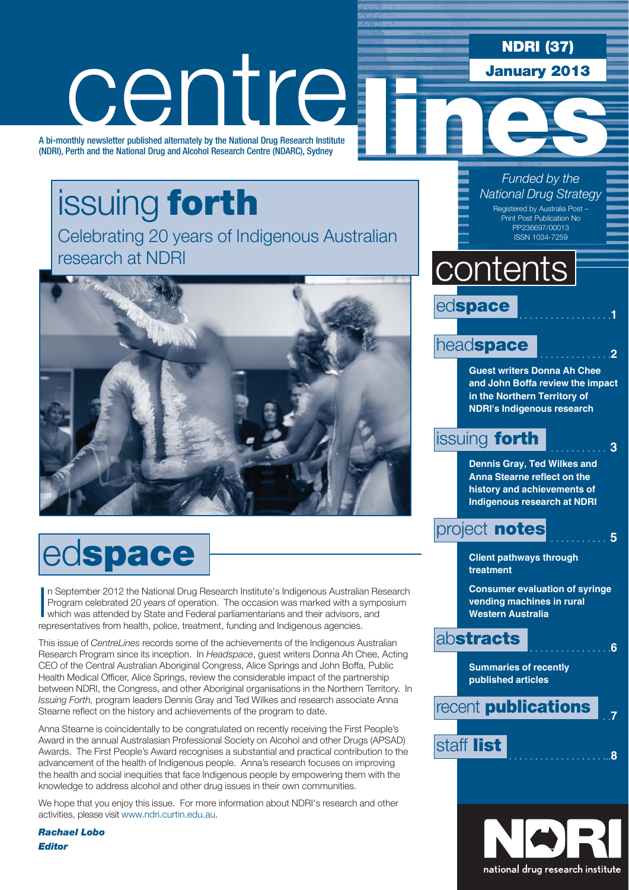### **NDRI (37)**

**January 2013**

# centre

A bi-monthly newsletter published alternately by the National Drug Research Institute (NDRI), Perth and the National Drug and Alcohol Research Centre (NDARC), Sydney

# issuing **forth**

Celebrating 20 years of Indigenous Australian research at NDRI



# ed**space**

In September 2012 the National Drug Research Institute's Indigenous Australian Reprogram celebrated 20 years of operation. The occasion was marked with a sympetric was attended by State and Federal parliamentarians and the n September 2012 the National Drug Research Institute's Indigenous Australian Research Program celebrated 20 years of operation. The occasion was marked with a symposium representatives from health, police, treatment, funding and Indigenous agencies.

This issue of *CentreLines* records some of the achievements of the Indigenous Australian Research Program since its inception. In *Headspace*, guest writers Donna Ah Chee, Acting CEO of the Central Australian Aboriginal Congress, Alice Springs and John Boffa, Public Health Medical Officer, Alice Springs, review the considerable impact of the partnership between NDRI, the Congress, and other Aboriginal organisations in the Northern Territory. In *Issuing Forth,* program leaders Dennis Gray and Ted Wilkes and research associate Anna Stearne reflect on the history and achievements of the program to date.

Anna Stearne is coincidentally to be congratulated on recently receiving the First People's Award in the annual Australasian Professional Society on Alcohol and other Drugs (APSAD) Awards. The First People's Award recognises a substantial and practical contribution to the advancement of the health of Indigenous people. Anna's research focuses on improving the health and social inequities that face Indigenous people by empowering them with the knowledge to address alcohol and other drug issues in their own communities.

We hope that you enjoy this issue. For more information about NDRI's research and other activities, please visit www.ndri.curtin.edu.au.

*Rachael Lobo Editor*

*Funded by the National Drug Strategy* Registered by Australia Post – Print Post Publication No PP236697/00013 ISSN 1034-7259

### **contents**



### headspace

**Guest writers Donna Ah Chee and John Boffa review the impact in the Northern Territory of NDRI's Indigenous research**

### **issuing forth .** . . . . . 3

**Dennis Gray, Ted Wilkes and Anna Stearne reflect on the history and achievements of Indigenous research at NDRI**

### project **notes** . . . . . . . . . . . **<sup>5</sup>**

**Client pathways through treatment**

**Consumer evaluation of syringe vending machines in rural Western Australia**

### ab**stracts** . . . . . . . . . . . . . . . .**<sup>6</sup>**

**Summaries of recently published articles**



staff **list** . . . . . . . . . . . . . . . . . . ...**<sup>8</sup>**

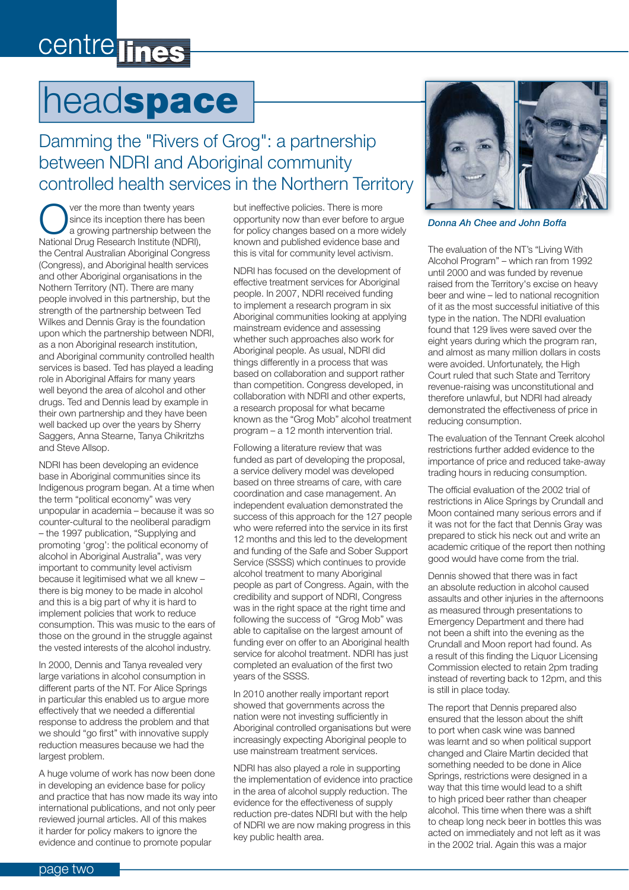### centre lines

# head**space**

### Damming the "Rivers of Grog": a partnership between NDRI and Aboriginal community controlled health services in the Northern Territory

ver the more than twenty years since its inception there has been a growing partnership between the National Drug Research Institute (NDRI), the Central Australian Aboriginal Congress (Congress), and Aboriginal health services and other Aboriginal organisations in the Nothern Territory (NT). There are many people involved in this partnership, but the strength of the partnership between Ted Wilkes and Dennis Gray is the foundation upon which the partnership between NDRI, as a non Aboriginal research institution, and Aboriginal community controlled health services is based. Ted has played a leading role in Aboriginal Affairs for many years well beyond the area of alcohol and other drugs. Ted and Dennis lead by example in their own partnership and they have been well backed up over the years by Sherry Saggers, Anna Stearne, Tanya Chikritzhs and Steve Allsop.

NDRI has been developing an evidence base in Aboriginal communities since its Indigenous program began. At a time when the term "political economy" was very unpopular in academia – because it was so counter-cultural to the neoliberal paradigm – the 1997 publication, "Supplying and promoting 'grog': the political economy of alcohol in Aboriginal Australia", was very important to community level activism because it legitimised what we all knew – there is big money to be made in alcohol and this is a big part of why it is hard to implement policies that work to reduce consumption. This was music to the ears of those on the ground in the struggle against the vested interests of the alcohol industry.

In 2000, Dennis and Tanya revealed very large variations in alcohol consumption in different parts of the NT. For Alice Springs in particular this enabled us to argue more effectively that we needed a differential response to address the problem and that we should "go first" with innovative supply reduction measures because we had the largest problem.

A huge volume of work has now been done in developing an evidence base for policy and practice that has now made its way into international publications, and not only peer reviewed journal articles. All of this makes it harder for policy makers to ignore the evidence and continue to promote popular

but ineffective policies. There is more opportunity now than ever before to argue for policy changes based on a more widely known and published evidence base and this is vital for community level activism.

NDRI has focused on the development of effective treatment services for Aboriginal people. In 2007, NDRI received funding to implement a research program in six Aboriginal communities looking at applying mainstream evidence and assessing whether such approaches also work for Aboriginal people. As usual, NDRI did things differently in a process that was based on collaboration and support rather than competition. Congress developed, in collaboration with NDRI and other experts, a research proposal for what became known as the "Grog Mob" alcohol treatment program – a 12 month intervention trial.

Following a literature review that was funded as part of developing the proposal, a service delivery model was developed based on three streams of care, with care coordination and case management. An independent evaluation demonstrated the success of this approach for the 127 people who were referred into the service in its first 12 months and this led to the development and funding of the Safe and Sober Support Service (SSSS) which continues to provide alcohol treatment to many Aboriginal people as part of Congress. Again, with the credibility and support of NDRI, Congress was in the right space at the right time and following the success of "Grog Mob" was able to capitalise on the largest amount of funding ever on offer to an Aboriginal health service for alcohol treatment. NDRI has just completed an evaluation of the first two years of the SSSS.

In 2010 another really important report showed that governments across the nation were not investing sufficiently in Aboriginal controlled organisations but were increasingly expecting Aboriginal people to use mainstream treatment services.

NDRI has also played a role in supporting the implementation of evidence into practice in the area of alcohol supply reduction. The evidence for the effectiveness of supply reduction pre-dates NDRI but with the help of NDRI we are now making progress in this key public health area.



*Donna Ah Chee and John Boffa*

The evaluation of the NT's "Living With Alcohol Program" – which ran from 1992 until 2000 and was funded by revenue raised from the Territory's excise on heavy beer and wine – led to national recognition of it as the most successful initiative of this type in the nation. The NDRI evaluation found that 129 lives were saved over the eight years during which the program ran, and almost as many million dollars in costs were avoided. Unfortunately, the High Court ruled that such State and Territory revenue-raising was unconstitutional and therefore unlawful, but NDRI had already demonstrated the effectiveness of price in reducing consumption.

The evaluation of the Tennant Creek alcohol restrictions further added evidence to the importance of price and reduced take-away trading hours in reducing consumption.

The official evaluation of the 2002 trial of restrictions in Alice Springs by Crundall and Moon contained many serious errors and if it was not for the fact that Dennis Gray was prepared to stick his neck out and write an academic critique of the report then nothing good would have come from the trial.

Dennis showed that there was in fact an absolute reduction in alcohol caused assaults and other injuries in the afternoons as measured through presentations to Emergency Department and there had not been a shift into the evening as the Crundall and Moon report had found. As a result of this finding the Liquor Licensing Commission elected to retain 2pm trading instead of reverting back to 12pm, and this is still in place today.

The report that Dennis prepared also ensured that the lesson about the shift to port when cask wine was banned was learnt and so when political support changed and Claire Martin decided that something needed to be done in Alice Springs, restrictions were designed in a way that this time would lead to a shift to high priced beer rather than cheaper alcohol. This time when there was a shift to cheap long neck beer in bottles this was acted on immediately and not left as it was in the 2002 trial. Again this was a major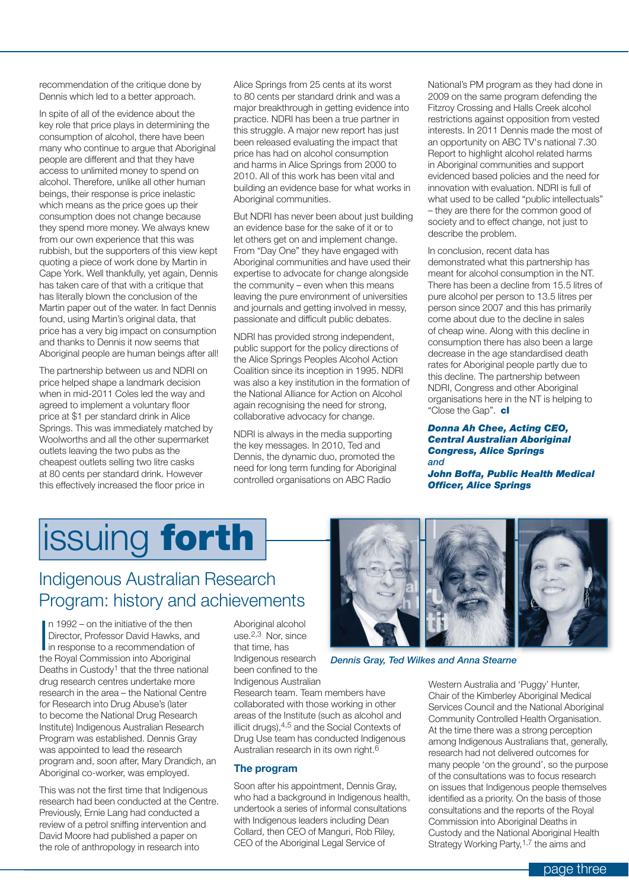recommendation of the critique done by Dennis which led to a better approach.

In spite of all of the evidence about the key role that price plays in determining the consumption of alcohol, there have been many who continue to argue that Aboriginal people are different and that they have access to unlimited money to spend on alcohol. Therefore, unlike all other human beings, their response is price inelastic which means as the price goes up their consumption does not change because they spend more money. We always knew from our own experience that this was rubbish, but the supporters of this view kept quoting a piece of work done by Martin in Cape York. Well thankfully, yet again, Dennis has taken care of that with a critique that has literally blown the conclusion of the Martin paper out of the water. In fact Dennis found, using Martin's original data, that price has a very big impact on consumption and thanks to Dennis it now seems that Aboriginal people are human beings after all!

The partnership between us and NDRI on price helped shape a landmark decision when in mid-2011 Coles led the way and agreed to implement a voluntary floor price at \$1 per standard drink in Alice Springs. This was immediately matched by Woolworths and all the other supermarket outlets leaving the two pubs as the cheapest outlets selling two litre casks at 80 cents per standard drink. However this effectively increased the floor price in

Alice Springs from 25 cents at its worst to 80 cents per standard drink and was a major breakthrough in getting evidence into practice. NDRI has been a true partner in this struggle. A major new report has just been released evaluating the impact that price has had on alcohol consumption and harms in Alice Springs from 2000 to 2010. All of this work has been vital and building an evidence base for what works in Aboriginal communities.

But NDRI has never been about just building an evidence base for the sake of it or to let others get on and implement change. From "Day One" they have engaged with Aboriginal communities and have used their expertise to advocate for change alongside the community – even when this means leaving the pure environment of universities and journals and getting involved in messy, passionate and difficult public debates.

NDRI has provided strong independent, public support for the policy directions of the Alice Springs Peoples Alcohol Action Coalition since its inception in 1995. NDRI was also a key institution in the formation of the National Alliance for Action on Alcohol again recognising the need for strong, collaborative advocacy for change.

NDRI is always in the media supporting the key messages. In 2010, Ted and Dennis, the dynamic duo, promoted the need for long term funding for Aboriginal controlled organisations on ABC Radio

National's PM program as they had done in 2009 on the same program defending the Fitzroy Crossing and Halls Creek alcohol restrictions against opposition from vested interests. In 2011 Dennis made the most of an opportunity on ABC TV's national 7.30 Report to highlight alcohol related harms in Aboriginal communities and support evidenced based policies and the need for innovation with evaluation. NDRI is full of what used to be called "public intellectuals" – they are there for the common good of society and to effect change, not just to describe the problem.

In conclusion, recent data has demonstrated what this partnership has meant for alcohol consumption in the NT. There has been a decline from 15.5 litres of pure alcohol per person to 13.5 litres per person since 2007 and this has primarily come about due to the decline in sales of cheap wine. Along with this decline in consumption there has also been a large decrease in the age standardised death rates for Aboriginal people partly due to this decline. The partnership between NDRI, Congress and other Aboriginal organisations here in the NT is helping to "Close the Gap". **cl**

#### *Donna Ah Chee, Acting CEO, Central Australian Aboriginal Congress, Alice Springs and*

*John Boffa, Public Health Medical Officer, Alice Springs*

# issuing **forth**

### Indigenous Australian Research Program: history and achievements

In 1992 – on the initiative of the then<br>Director, Professor David Hawks, an<br>in response to a recommendation of<br>the Royal Commission into Aboriginal n 1992 – on the initiative of the then Director, Professor David Hawks, and in response to a recommendation of Deaths in Custody<sup>1</sup> that the three national drug research centres undertake more research in the area – the National Centre for Research into Drug Abuse's (later to become the National Drug Research Institute) Indigenous Australian Research Program was established. Dennis Gray was appointed to lead the research program and, soon after, Mary Drandich, an Aboriginal co-worker, was employed.

This was not the first time that Indigenous research had been conducted at the Centre. Previously, Ernie Lang had conducted a review of a petrol sniffing intervention and David Moore had published a paper on the role of anthropology in research into

Aboriginal alcohol  $use<sup>2,3</sup>$  Nor, since that time, has Indigenous research been confined to the Indigenous Australian

Research team. Team members have collaborated with those working in other areas of the Institute (such as alcohol and illicit drugs),4,5 and the Social Contexts of Drug Use team has conducted Indigenous Australian research in its own right.6

#### **The program**

Soon after his appointment, Dennis Gray, who had a background in Indigenous health, undertook a series of informal consultations with Indigenous leaders including Dean Collard, then CEO of Manguri, Rob Riley, CEO of the Aboriginal Legal Service of



*Dennis Gray, Ted Wilkes and Anna Stearne*

Western Australia and 'Puggy' Hunter, Chair of the Kimberley Aboriginal Medical Services Council and the National Aboriginal Community Controlled Health Organisation. At the time there was a strong perception among Indigenous Australians that, generally, research had not delivered outcomes for many people 'on the ground', so the purpose of the consultations was to focus research on issues that Indigenous people themselves identified as a priority. On the basis of those consultations and the reports of the Royal Commission into Aboriginal Deaths in Custody and the National Aboriginal Health Strategy Working Party,<sup>1,7</sup> the aims and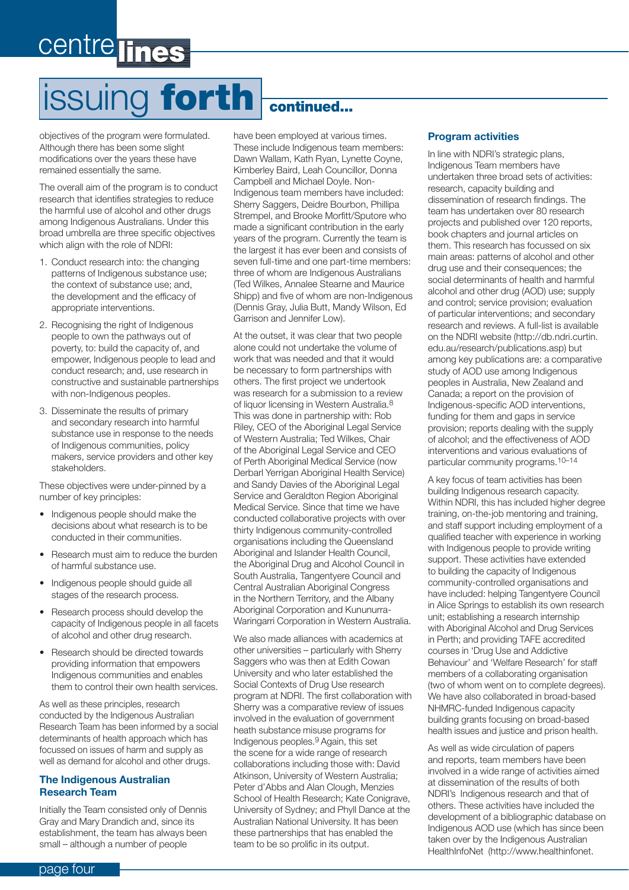# centre lines

# issuing **forth continued...**

objectives of the program were formulated. Although there has been some slight modifications over the years these have remained essentially the same.

The overall aim of the program is to conduct research that identifies strategies to reduce the harmful use of alcohol and other drugs among Indigenous Australians. Under this broad umbrella are three specific objectives which align with the role of NDRI:

- 1. Conduct research into: the changing patterns of Indigenous substance use; the context of substance use; and, the development and the efficacy of appropriate interventions.
- 2. Recognising the right of Indigenous people to own the pathways out of poverty, to: build the capacity of, and empower, Indigenous people to lead and conduct research; and, use research in constructive and sustainable partnerships with non-Indigenous peoples.
- 3. Disseminate the results of primary and secondary research into harmful substance use in response to the needs of Indigenous communities, policy makers, service providers and other key stakeholders.

These objectives were under-pinned by a number of key principles:

- Indigenous people should make the decisions about what research is to be conducted in their communities.
- Research must aim to reduce the burden of harmful substance use.
- Indigenous people should guide all stages of the research process.
- Research process should develop the capacity of Indigenous people in all facets of alcohol and other drug research.
- Research should be directed towards providing information that empowers Indigenous communities and enables them to control their own health services.

As well as these principles, research conducted by the Indigenous Australian Research Team has been informed by a social determinants of health approach which has focussed on issues of harm and supply as well as demand for alcohol and other drugs.

#### **The Indigenous Australian Research Team**

Initially the Team consisted only of Dennis Gray and Mary Drandich and, since its establishment, the team has always been small – although a number of people

have been employed at various times. These include Indigenous team members: Dawn Wallam, Kath Ryan, Lynette Coyne, Kimberley Baird, Leah Councillor, Donna Campbell and Michael Doyle. Non-Indigenous team members have included: Sherry Saggers, Deidre Bourbon, Phillipa Strempel, and Brooke Morfitt/Sputore who made a significant contribution in the early years of the program. Currently the team is the largest it has ever been and consists of seven full-time and one part-time members: three of whom are Indigenous Australians (Ted Wilkes, Annalee Stearne and Maurice Shipp) and five of whom are non-Indigenous (Dennis Gray, Julia Butt, Mandy Wilson, Ed Garrison and Jennifer Low).

At the outset, it was clear that two people alone could not undertake the volume of work that was needed and that it would be necessary to form partnerships with others. The first project we undertook was research for a submission to a review of liquor licensing in Western Australia.8 This was done in partnership with: Rob Riley, CEO of the Aboriginal Legal Service of Western Australia; Ted Wilkes, Chair of the Aboriginal Legal Service and CEO of Perth Aboriginal Medical Service (now Derbarl Yerrigan Aboriginal Health Service) and Sandy Davies of the Aboriginal Legal Service and Geraldton Region Aboriginal Medical Service. Since that time we have conducted collaborative projects with over thirty Indigenous community-controlled organisations including the Queensland Aboriginal and Islander Health Council, the Aboriginal Drug and Alcohol Council in South Australia, Tangentyere Council and Central Australian Aboriginal Congress in the Northern Territory, and the Albany Aboriginal Corporation and Kununurra-Waringarri Corporation in Western Australia.

We also made alliances with academics at other universities – particularly with Sherry Saggers who was then at Edith Cowan University and who later established the Social Contexts of Drug Use research program at NDRI. The first collaboration with Sherry was a comparative review of issues involved in the evaluation of government heath substance misuse programs for Indigenous peoples.9 Again, this set the scene for a wide range of research collaborations including those with: David Atkinson, University of Western Australia; Peter d'Abbs and Alan Clough, Menzies School of Health Research; Kate Conigrave, University of Sydney; and Phyll Dance at the Australian National University. It has been these partnerships that has enabled the team to be so prolific in its output.

#### **Program activities**

In line with NDRI's strategic plans, Indigenous Team members have undertaken three broad sets of activities: research, capacity building and dissemination of research findings. The team has undertaken over 80 research projects and published over 120 reports, book chapters and journal articles on them. This research has focussed on six main areas: patterns of alcohol and other drug use and their consequences; the social determinants of health and harmful alcohol and other drug (AOD) use; supply and control; service provision; evaluation of particular interventions; and secondary research and reviews. A full-list is available on the NDRI website (http://db.ndri.curtin. edu.au/research/publications.asp) but among key publications are: a comparative study of AOD use among Indigenous peoples in Australia, New Zealand and Canada; a report on the provision of Indigenous-specific AOD interventions, funding for them and gaps in service provision; reports dealing with the supply of alcohol; and the effectiveness of AOD interventions and various evaluations of particular community programs.10–14

A key focus of team activities has been building Indigenous research capacity. Within NDRI, this has included higher degree training, on-the-job mentoring and training, and staff support including employment of a qualified teacher with experience in working with Indigenous people to provide writing support. These activities have extended to building the capacity of Indigenous community-controlled organisations and have included: helping Tangentyere Council in Alice Springs to establish its own research unit; establishing a research internship with Aboriginal Alcohol and Drug Services in Perth; and providing TAFE accredited courses in 'Drug Use and Addictive Behaviour' and 'Welfare Research' for staff members of a collaborating organisation (two of whom went on to complete degrees). We have also collaborated in broad-based NHMRC-funded Indigenous capacity building grants focusing on broad-based health issues and justice and prison health.

As well as wide circulation of papers and reports, team members have been involved in a wide range of activities aimed at dissemination of the results of both NDRI's Indigenous research and that of others. These activities have included the development of a bibliographic database on Indigenous AOD use (which has since been taken over by the Indigenous Australian HealthInfoNet (http://www.healthinfonet.

#### page four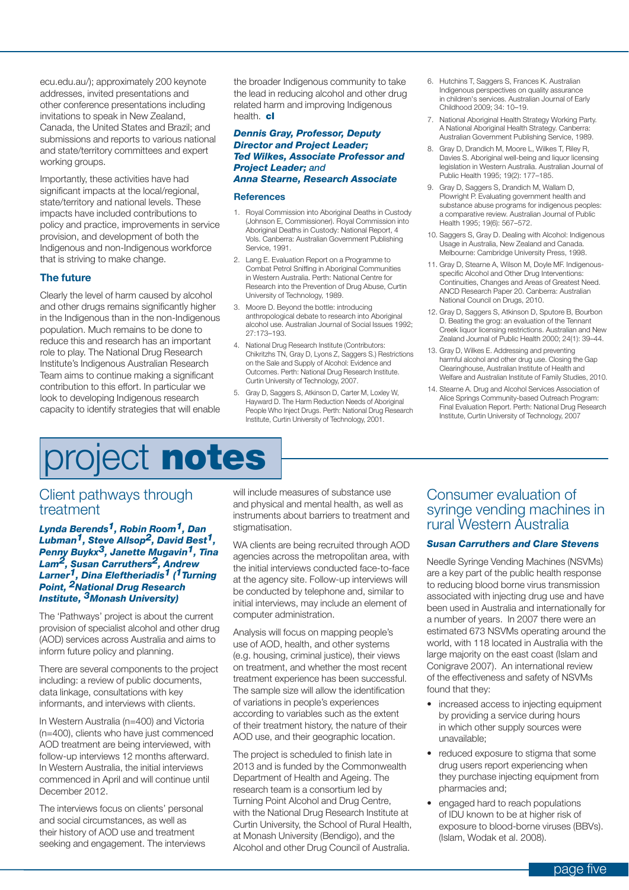ecu.edu.au/); approximately 200 keynote addresses, invited presentations and other conference presentations including invitations to speak in New Zealand, Canada, the United States and Brazil; and submissions and reports to various national and state/territory committees and expert working groups.

Importantly, these activities have had significant impacts at the local/regional, state/territory and national levels. These impacts have included contributions to policy and practice, improvements in service provision, and development of both the Indigenous and non-Indigenous workforce that is striving to make change.

#### **The future**

Clearly the level of harm caused by alcohol and other drugs remains significantly higher in the Indigenous than in the non-Indigenous population. Much remains to be done to reduce this and research has an important role to play. The National Drug Research Institute's Indigenous Australian Research Team aims to continue making a significant contribution to this effort. In particular we look to developing Indigenous research capacity to identify strategies that will enable

the broader Indigenous community to take the lead in reducing alcohol and other drug related harm and improving Indigenous health. **cl**

#### *Dennis Gray, Professor, Deputy Director and Project Leader; Ted Wilkes, Associate Professor and Project Leader; and Anna Stearne, Research Associate*

#### **References**

- 1. Royal Commission into Aboriginal Deaths in Custody (Johnson E, Commissioner). Royal Commission into Aboriginal Deaths in Custody: National Report, 4 Vols. Canberra: Australian Government Publishing Service, 1991.
- 2. Lang E. Evaluation Report on a Programme to Combat Petrol Sniffing in Aboriginal Communities in Western Australia. Perth: National Centre for Research into the Prevention of Drug Abuse, Curtin University of Technology, 1989.
- 3. Moore D. Beyond the bottle: introducing anthropological debate to research into Aboriginal alcohol use. Australian Journal of Social Issues 1992; 27:173–193.
- 4. National Drug Research Institute (Contributors: Chikritzhs TN, Gray D, Lyons Z, Saggers S.) Restrictions on the Sale and Supply of Alcohol: Evidence and Outcomes. Perth: National Drug Research Institute. Curtin University of Technology, 2007.
- 5. Gray D, Saggers S, Atkinson D, Carter M, Loxley W, Hayward D. The Harm Reduction Needs of Aboriginal People Who Inject Drugs. Perth: National Drug Research Institute, Curtin University of Technology, 2001.
- 6. Hutchins T, Saggers S, Frances K. Australian Indigenous perspectives on quality assurance in children's services. Australian Journal of Early Childhood 2009; 34: 10–19.
- 7. National Aboriginal Health Strategy Working Party. A National Aboriginal Health Strategy. Canberra: Australian Government Publishing Service, 1989.
- 8. Gray D, Drandich M, Moore L, Wilkes T, Riley R, Davies S. Aboriginal well-being and liquor licensing legislation in Western Australia. Australian Journal of Public Health 1995; 19(2): 177–185.
- 9. Gray D, Saggers S, Drandich M, Wallam D, Plowright P. Evaluating government health and substance abuse programs for indigenous peoples: a comparative review. Australian Journal of Public Health 1995; 19(6): 567–572.
- 10. Saggers S, Gray D. Dealing with Alcohol: Indigenous Usage in Australia, New Zealand and Canada. Melbourne: Cambridge University Press, 1998.
- 11. Gray D, Stearne A, Wilson M, Doyle MF. Indigenousspecific Alcohol and Other Drug Interventions: Continuities, Changes and Areas of Greatest Need. ANCD Research Paper 20. Canberra: Australian National Council on Drugs, 2010.
- 12. Gray D, Saggers S, Atkinson D, Sputore B, Bourbon D. Beating the grog: an evaluation of the Tennant Creek liquor licensing restrictions. Australian and New Zealand Journal of Public Health 2000; 24(1): 39–44.
- 13. Gray D, Wilkes E. Addressing and preventing harmful alcohol and other drug use. Closing the Gap Clearinghouse, Australian Institute of Health and Welfare and Australian Institute of Family Studies, 2010.
- 14. Stearne A. Drug and Alcohol Services Association of Alice Springs Community-based Outreach Program: Final Evaluation Report. Perth: National Drug Research Institute, Curtin University of Technology, 2007

### project **notes**

#### Client pathways through treatment

#### *Lynda Berends1, Robin Room1, Dan Lubman1, Steve Allsop2, David Best1, Penny Buykx3, Janette Mugavin1, Tina Lam2, Susan Carruthers2, Andrew Larner1, Dina Eleftheriadis1 ( 1Turning Point, 2National Drug Research Institute, 3Monash University)*

The 'Pathways' project is about the current provision of specialist alcohol and other drug (AOD) services across Australia and aims to inform future policy and planning.

There are several components to the project including: a review of public documents, data linkage, consultations with key informants, and interviews with clients.

In Western Australia (n=400) and Victoria (n=400), clients who have just commenced AOD treatment are being interviewed, with follow-up interviews 12 months afterward. In Western Australia, the initial interviews commenced in April and will continue until December 2012.

The interviews focus on clients' personal and social circumstances, as well as their history of AOD use and treatment seeking and engagement. The interviews will include measures of substance use and physical and mental health, as well as instruments about barriers to treatment and stigmatisation.

WA clients are being recruited through AOD agencies across the metropolitan area, with the initial interviews conducted face-to-face at the agency site. Follow-up interviews will be conducted by telephone and, similar to initial interviews, may include an element of computer administration.

Analysis will focus on mapping people's use of AOD, health, and other systems (e.g. housing, criminal justice), their views on treatment, and whether the most recent treatment experience has been successful. The sample size will allow the identification of variations in people's experiences according to variables such as the extent of their treatment history, the nature of their AOD use, and their geographic location.

The project is scheduled to finish late in 2013 and is funded by the Commonwealth Department of Health and Ageing. The research team is a consortium led by Turning Point Alcohol and Drug Centre, with the National Drug Research Institute at Curtin University, the School of Rural Health, at Monash University (Bendigo), and the Alcohol and other Drug Council of Australia.

#### Consumer evaluation of syringe vending machines in rural Western Australia

#### *Susan Carruthers and Clare Stevens*

Needle Syringe Vending Machines (NSVMs) are a key part of the public health response to reducing blood borne virus transmission associated with injecting drug use and have been used in Australia and internationally for a number of years. In 2007 there were an estimated 673 NSVMs operating around the world, with 118 located in Australia with the large majority on the east coast (Islam and Conigrave 2007). An international review of the effectiveness and safety of NSVMs found that they:

- increased access to injecting equipment by providing a service during hours in which other supply sources were unavailable;
- reduced exposure to stigma that some drug users report experiencing when they purchase injecting equipment from pharmacies and;
- engaged hard to reach populations of IDU known to be at higher risk of exposure to blood-borne viruses (BBVs). (Islam, Wodak et al. 2008).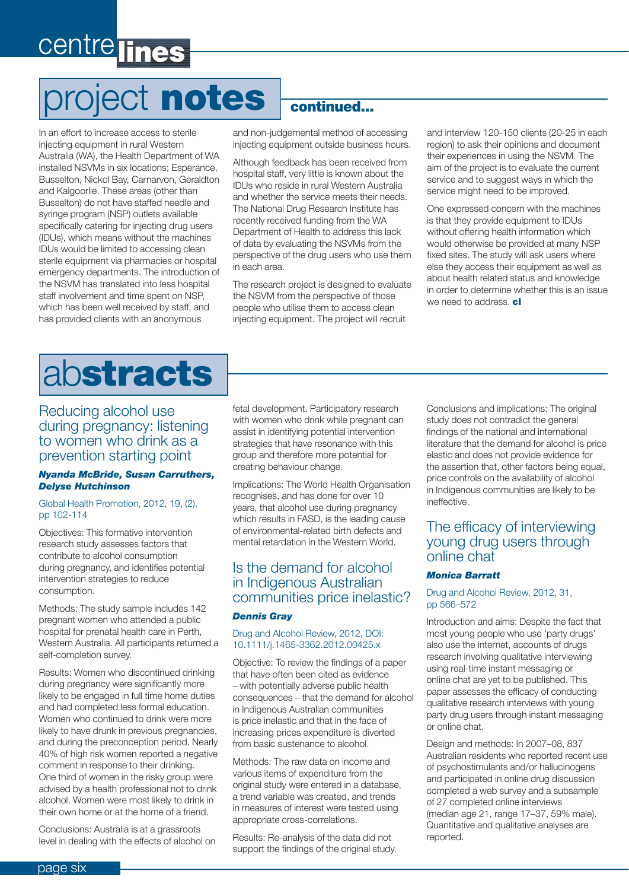## centre lines

# project **notes**

In an effort to increase access to sterile injecting equipment in rural Western Australia (WA), the Health Department of WA installed NSVMs in six locations; Esperance, Busselton, Nickol Bay, Carnarvon, Geraldton and Kalgoorlie. These areas (other than Busselton) do not have staffed needle and syringe program (NSP) outlets available specifically catering for injecting drug users (IDUs), which means without the machines IDUs would be limited to accessing clean sterile equipment via pharmacies or hospital emergency departments. The introduction of the NSVM has translated into less hospital staff involvement and time spent on NSP, which has been well received by staff, and has provided clients with an anonymous

#### **continued...**

and non-judgemental method of accessing injecting equipment outside business hours.

Although feedback has been received from hospital staff, very little is known about the IDUs who reside in rural Western Australia and whether the service meets their needs. The National Drug Research Institute has recently received funding from the WA Department of Health to address this lack of data by evaluating the NSVMs from the perspective of the drug users who use them in each area.

The research project is designed to evaluate the NSVM from the perspective of those people who utilise them to access clean injecting equipment. The project will recruit

and interview 120-150 clients (20-25 in each region) to ask their opinions and document their experiences in using the NSVM. The aim of the project is to evaluate the current service and to suggest ways in which the service might need to be improved.

One expressed concern with the machines is that they provide equipment to IDUs without offering health information which would otherwise be provided at many NSP fixed sites. The study will ask users where else they access their equipment as well as about health related status and knowledge in order to determine whether this is an issue we need to address. **cl**



#### Reducing alcohol use during pregnancy: listening to women who drink as a prevention starting point

#### *Nyanda McBride, Susan Carruthers, Delyse Hutchinson*

#### Global Health Promotion, 2012, 19, (2), pp 102-114

Objectives: This formative intervention research study assesses factors that contribute to alcohol consumption during pregnancy, and identifies potential intervention strategies to reduce consumption.

Methods: The study sample includes 142 pregnant women who attended a public hospital for prenatal health care in Perth, Western Australia. All participants returned a self-completion survey.

Results: Women who discontinued drinking during pregnancy were significantly more likely to be engaged in full time home duties and had completed less formal education. Women who continued to drink were more likely to have drunk in previous pregnancies, and during the preconception period. Nearly 40% of high risk women reported a negative comment in response to their drinking. One third of women in the risky group were advised by a health professional not to drink alcohol. Women were most likely to drink in their own home or at the home of a friend.

Conclusions: Australia is at a grassroots level in dealing with the effects of alcohol on fetal development. Participatory research with women who drink while pregnant can assist in identifying potential intervention strategies that have resonance with this group and therefore more potential for creating behaviour change.

Implications: The World Health Organisation recognises, and has done for over 10 years, that alcohol use during pregnancy which results in FASD, is the leading cause of environmental-related birth defects and mental retardation in the Western World.

#### Is the demand for alcohol in Indigenous Australian communities price inelastic?

#### *Dennis Gray*

#### Drug and Alcohol Review, 2012, DOI: 10.1111/j.1465-3362.2012.00425.x

Objective: To review the findings of a paper that have often been cited as evidence – with potentially adverse public health consequences – that the demand for alcohol in Indigenous Australian communities is price inelastic and that in the face of increasing prices expenditure is diverted from basic sustenance to alcohol.

Methods: The raw data on income and various items of expenditure from the original study were entered in a database, a trend variable was created, and trends in measures of interest were tested using appropriate cross-correlations.

Results: Re-analysis of the data did not support the findings of the original study. Conclusions and implications: The original study does not contradict the general findings of the national and international literature that the demand for alcohol is price elastic and does not provide evidence for the assertion that, other factors being equal, price controls on the availability of alcohol in Indigenous communities are likely to be ineffective.

#### The efficacy of interviewing young drug users through online chat

#### *Monica Barratt*

#### Drug and Alcohol Review, 2012, 31, pp 566–572

Introduction and aims: Despite the fact that most young people who use 'party drugs' also use the internet, accounts of drugs research involving qualitative interviewing using real-time instant messaging or online chat are yet to be published. This paper assesses the efficacy of conducting qualitative research interviews with young party drug users through instant messaging or online chat.

Design and methods: In 2007–08, 837 Australian residents who reported recent use of psychostimulants and/or hallucinogens and participated in online drug discussion completed a web survey and a subsample of 27 completed online interviews (median age 21, range 17–37, 59% male). Quantitative and qualitative analyses are reported.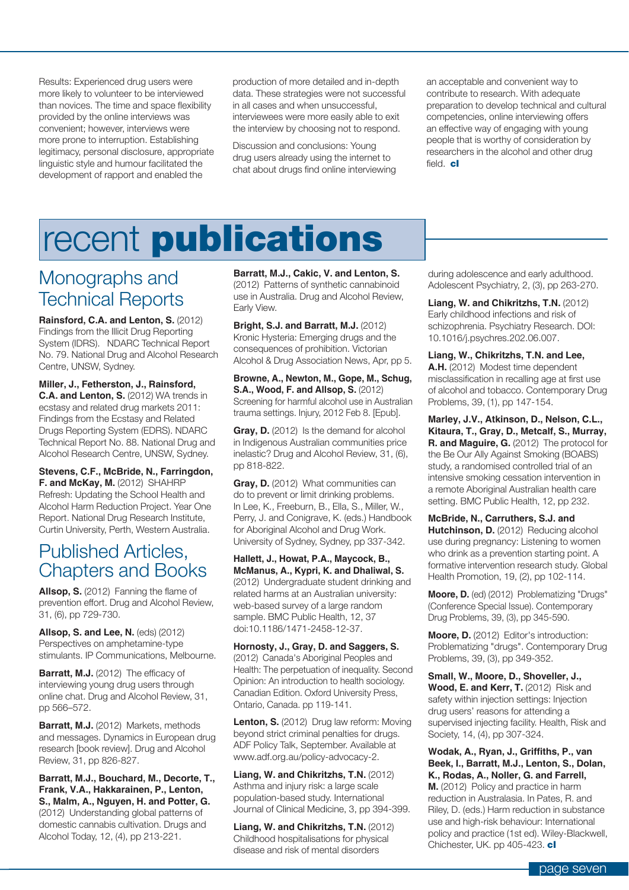Results: Experienced drug users were more likely to volunteer to be interviewed than novices. The time and space flexibility provided by the online interviews was convenient; however, interviews were more prone to interruption. Establishing legitimacy, personal disclosure, appropriate linguistic style and humour facilitated the development of rapport and enabled the

production of more detailed and in-depth data. These strategies were not successful in all cases and when unsuccessful, interviewees were more easily able to exit the interview by choosing not to respond.

Discussion and conclusions: Young drug users already using the internet to chat about drugs find online interviewing

an acceptable and convenient way to contribute to research. With adequate preparation to develop technical and cultural competencies, online interviewing offers an effective way of engaging with young people that is worthy of consideration by researchers in the alcohol and other drug field. **cl**

# recent **publications**

### Monographs and Technical Reports

**Rainsford, C.A. and Lenton, S.** (2012) Findings from the Illicit Drug Reporting System (IDRS). NDARC Technical Report No. 79. National Drug and Alcohol Research Centre, UNSW, Sydney.

**Miller, J., Fetherston, J., Rainsford, C.A. and Lenton, S.** (2012) WA trends in ecstasy and related drug markets 2011: Findings from the Ecstasy and Related Drugs Reporting System (EDRS). NDARC Technical Report No. 88. National Drug and Alcohol Research Centre, UNSW, Sydney.

**Stevens, C.F., McBride, N., Farringdon, F. and McKay, M.** (2012) SHAHRP Refresh: Updating the School Health and Alcohol Harm Reduction Project. Year One Report. National Drug Research Institute, Curtin University, Perth, Western Australia.

### Published Articles, Chapters and Books

**Allsop, S.** (2012) Fanning the flame of prevention effort. Drug and Alcohol Review, 31, (6), pp 729-730.

**Allsop, S. and Lee, N.** (eds) (2012) Perspectives on amphetamine-type stimulants. IP Communications, Melbourne.

**Barratt, M.J.** (2012) The efficacy of interviewing young drug users through online chat. Drug and Alcohol Review, 31, pp 566–572.

**Barratt, M.J.** (2012) Markets, methods and messages. Dynamics in European drug research [book review]. Drug and Alcohol Review, 31, pp 826-827.

#### **Barratt, M.J., Bouchard, M., Decorte, T., Frank, V.A., Hakkarainen, P., Lenton, S., Malm, A., Nguyen, H. and Potter, G.**

(2012) Understanding global patterns of domestic cannabis cultivation. Drugs and Alcohol Today, 12, (4), pp 213-221.

**Barratt, M.J., Cakic, V. and Lenton, S.**  (2012) Patterns of synthetic cannabinoid use in Australia. Drug and Alcohol Review, Early View.

**Bright, S.J. and Barratt, M.J.** (2012) Kronic Hysteria: Emerging drugs and the consequences of prohibition. Victorian Alcohol & Drug Association News, Apr, pp 5.

**Browne, A., Newton, M., Gope, M., Schug, S.A., Wood, F. and Allsop, S.** (2012) Screening for harmful alcohol use in Australian trauma settings. Injury, 2012 Feb 8. [Epub].

Gray, D. (2012) Is the demand for alcohol in Indigenous Australian communities price inelastic? Drug and Alcohol Review, 31, (6), pp 818-822.

Gray, D. (2012) What communities can do to prevent or limit drinking problems. In Lee, K., Freeburn, B., Ella, S., Miller, W., Perry, J. and Conigrave, K. (eds.) Handbook for Aboriginal Alcohol and Drug Work. University of Sydney, Sydney, pp 337-342.

**Hallett, J., Howat, P.A., Maycock, B., McManus, A., Kypri, K. and Dhaliwal, S.** (2012) Undergraduate student drinking and related harms at an Australian university: web-based survey of a large random sample. BMC Public Health, 12, 37 doi:10.1186/1471-2458-12-37.

**Hornosty, J., Gray, D. and Saggers, S.** (2012) Canada's Aboriginal Peoples and Health: The perpetuation of inequality. Second Opinion: An introduction to health sociology. Canadian Edition. Oxford University Press, Ontario, Canada. pp 119-141.

Lenton, S. (2012) Drug law reform: Moving beyond strict criminal penalties for drugs. ADF Policy Talk, September. Available at www.adf.org.au/policy-advocacy-2.

**Liang, W. and Chikritzhs, T.N.** (2012) Asthma and injury risk: a large scale population-based study. International Journal of Clinical Medicine, 3, pp 394-399.

**Liang, W. and Chikritzhs, T.N.** (2012) Childhood hospitalisations for physical disease and risk of mental disorders

during adolescence and early adulthood. Adolescent Psychiatry, 2, (3), pp 263-270.

**Liang, W. and Chikritzhs, T.N.** (2012) Early childhood infections and risk of schizophrenia. Psychiatry Research. DOI: 10.1016/j.psychres.202.06.007.

**Liang, W., Chikritzhs, T.N. and Lee, A.H.** (2012) Modest time dependent misclassification in recalling age at first use of alcohol and tobacco. Contemporary Drug Problems, 39, (1), pp 147-154.

**Marley, J.V., Atkinson, D., Nelson, C.L., Kitaura, T., Gray, D., Metcalf, S., Murray, R. and Maguire, G.** (2012) The protocol for the Be Our Ally Against Smoking (BOABS) study, a randomised controlled trial of an intensive smoking cessation intervention in a remote Aboriginal Australian health care setting. BMC Public Health, 12, pp 232.

**McBride, N., Carruthers, S.J. and Hutchinson, D.** (2012) Reducing alcohol use during pregnancy: Listening to women who drink as a prevention starting point. A formative intervention research study. Global Health Promotion, 19, (2), pp 102-114.

**Moore, D.** (ed) (2012) Problematizing "Drugs" (Conference Special Issue). Contemporary Drug Problems, 39, (3), pp 345-590.

**Moore, D.** (2012) Editor's introduction: Problematizing "drugs". Contemporary Drug Problems, 39, (3), pp 349-352.

**Small, W., Moore, D., Shoveller, J.,**  Wood, E. and Kerr, T. (2012) Risk and safety within injection settings: Injection drug users' reasons for attending a supervised injecting facility. Health, Risk and Society, 14, (4), pp 307-324.

Wodak, A., Ryan, J., Griffiths, P., van **Beek, I., Barratt, M.J., Lenton, S., Dolan, K., Rodas, A., Noller, G. and Farrell,** 

**M.** (2012) Policy and practice in harm reduction in Australasia. In Pates, R. and Riley, D. (eds.) Harm reduction in substance use and high-risk behaviour: International policy and practice (1st ed). Wiley-Blackwell, Chichester, UK. pp 405-423. **cl**